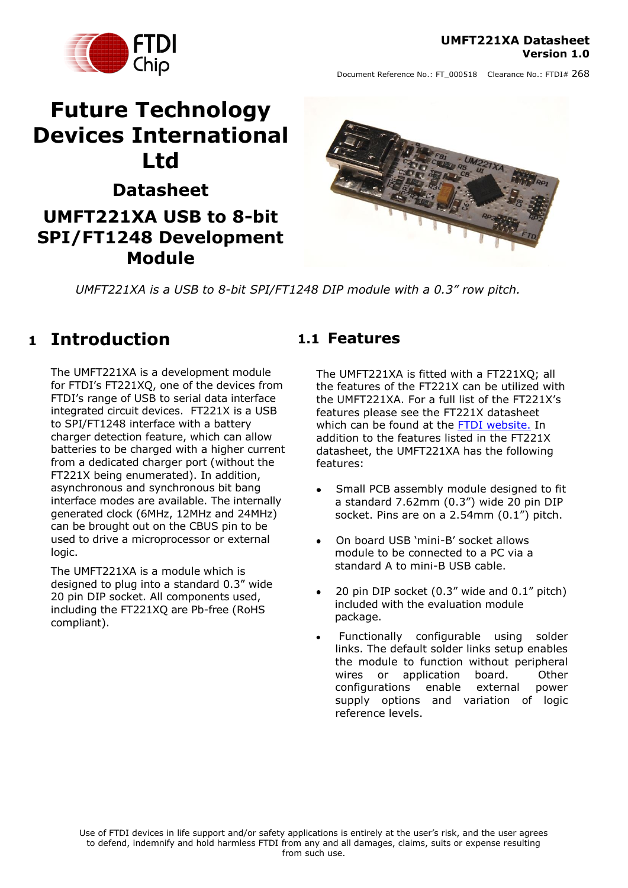### **UMFT221XA Datasheet Version 1.0**



Document Reference No.: FT\_000518 Clearance No.: FTDI# 268

# **Future Technology Devices International Ltd**

# **Datasheet UMFT221XA USB to 8-bit SPI/FT1248 Development Module**



*UMFT221XA is a USB to 8-bit SPI/FT1248 DIP module with a 0.3" row pitch.*

### <span id="page-0-0"></span>**1 Introduction**

The UMFT221XA is a development module for FTDI's FT221XQ, one of the devices from FTDI"s range of USB to serial data interface integrated circuit devices. FT221X is a USB to SPI/FT1248 interface with a battery charger detection feature, which can allow batteries to be charged with a higher current from a dedicated charger port (without the FT221X being enumerated). In addition, asynchronous and synchronous bit bang interface modes are available. The internally generated clock (6MHz, 12MHz and 24MHz) can be brought out on the CBUS pin to be used to drive a microprocessor or external logic.

The UMFT221XA is a module which is designed to plug into a standard 0.3" wide 20 pin DIP socket. All components used, including the FT221XQ are Pb-free (RoHS compliant).

### <span id="page-0-1"></span>**1.1 Features**

The UMFT221XA is fitted with a FT221XQ; all the features of the FT221X can be utilized with the UMFT221XA. For a full list of the FT221X"s features please see the FT221X datasheet which can be found at the [FTDI website.](http://www.ftdichip.com/) In addition to the features listed in the FT221X datasheet, the UMFT221XA has the following features:

- Small PCB assembly module designed to fit a standard 7.62mm (0.3") wide 20 pin DIP socket. Pins are on a 2.54mm (0.1") pitch.
- On board USB "mini-B" socket allows  $\bullet$ module to be connected to a PC via a standard A to mini-B USB cable.
- 20 pin DIP socket (0.3" wide and 0.1" pitch) included with the evaluation module package.
- Functionally configurable using solder links. The default solder links setup enables the module to function without peripheral wires or application board. Other<br>configurations enable external nower configurations enable external supply options and variation of logic reference levels.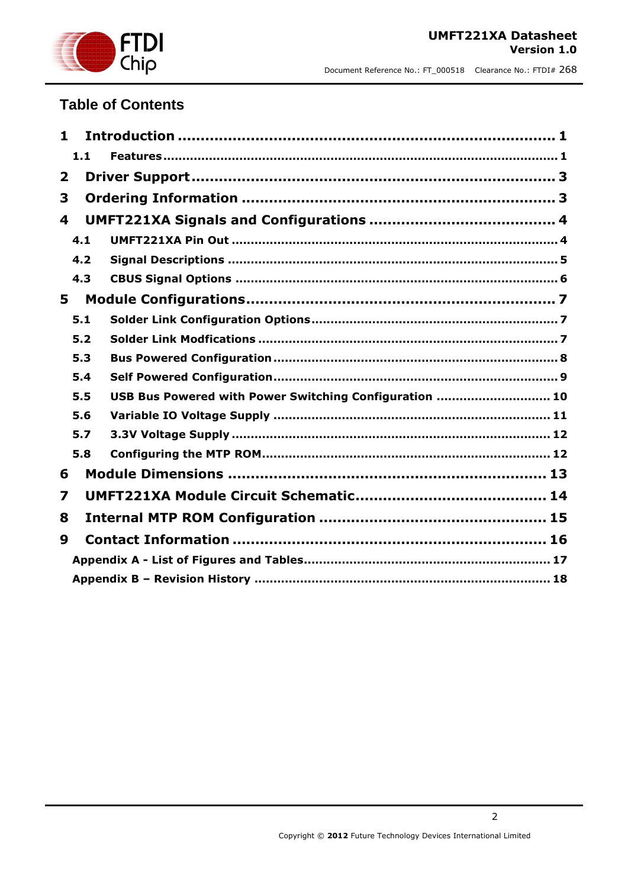

### **Table of Contents**

| 1            |                                                        |  |
|--------------|--------------------------------------------------------|--|
| 1.1          |                                                        |  |
| $\mathbf{2}$ |                                                        |  |
| 3            |                                                        |  |
| 4            |                                                        |  |
| 4.1          |                                                        |  |
| 4.2          |                                                        |  |
| 4.3          |                                                        |  |
| 5            |                                                        |  |
| 5.1          |                                                        |  |
| 5.2          |                                                        |  |
| 5.3          |                                                        |  |
| 5.4          |                                                        |  |
| 5.5          | USB Bus Powered with Power Switching Configuration  10 |  |
| 5.6          |                                                        |  |
| 5.7          |                                                        |  |
| 5.8          |                                                        |  |
| 6            |                                                        |  |
| 7            |                                                        |  |
| 8            |                                                        |  |
| 9            |                                                        |  |
|              |                                                        |  |
|              |                                                        |  |

2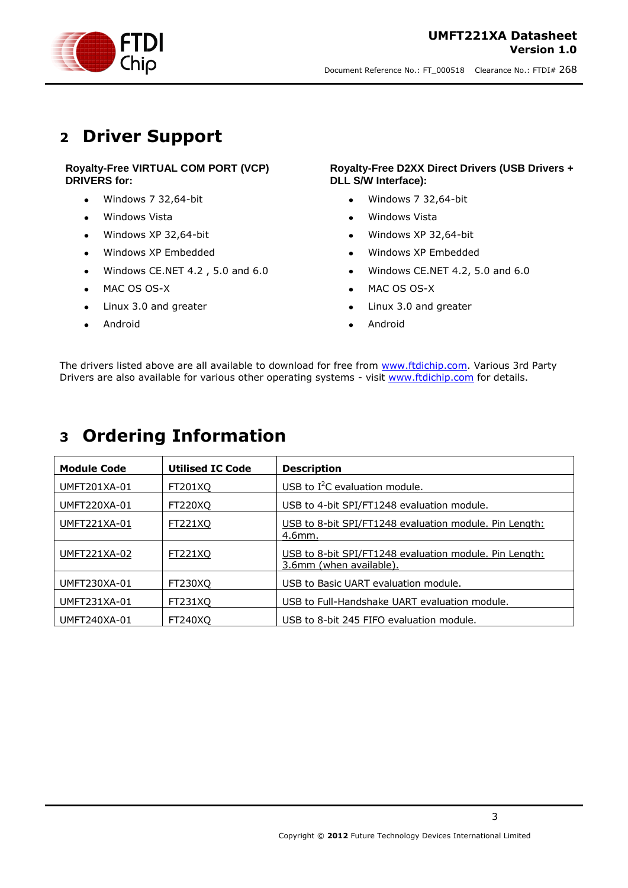

### <span id="page-2-0"></span>**2 Driver Support**

### **Royalty-Free VIRTUAL COM PORT (VCP) DRIVERS for:**

- Windows 7 32,64-bit  $\bullet$
- Windows Vista  $\bullet$
- Windows XP 32,64-bit  $\bullet$
- Windows XP Embedded  $\bullet$
- Windows CE.NET 4.2 , 5.0 and 6.0  $\bullet$
- MAC OS OS-X  $\bullet$
- Linux 3.0 and greater  $\bullet$
- Android  $\bullet$

#### **Royalty-Free D2XX Direct Drivers (USB Drivers + DLL S/W Interface):**

- Windows 7 32,64-bit  $\bullet$
- Windows Vista
- Windows XP 32,64-bit  $\bullet$
- Windows XP Embedded  $\bullet$
- Windows CE.NET 4.2, 5.0 and 6.0  $\bullet$
- MAC OS OS-X  $\bullet$
- Linux 3.0 and greater
- Android  $\ddot{\phantom{a}}$

The drivers listed above are all available to download for free from [www.ftdichip.com.](http://www.ftdichip.com/) Various 3rd Party Drivers are also available for various other operating systems - visit [www.ftdichip.com](http://www.ftdichip.com/) for details.

### <span id="page-2-1"></span>**3 Ordering Information**

| <b>Module Code</b>  | <b>Utilised IC Code</b> | <b>Description</b>                                                                |
|---------------------|-------------------------|-----------------------------------------------------------------------------------|
| UMFT201XA-01        | FT201XO                 | USB to $I^2C$ evaluation module.                                                  |
| <b>UMFT220XA-01</b> | FT220XQ                 | USB to 4-bit SPI/FT1248 evaluation module.                                        |
| UMFT221XA-01        | <u>FT221XQ</u>          | USB to 8-bit SPI/FT1248 evaluation module. Pin Length:<br>4.6mm.                  |
| UMFT221XA-02        | FT221XQ                 | USB to 8-bit SPI/FT1248 evaluation module. Pin Length:<br>3.6mm (when available). |
| UMFT230XA-01        | FT230XO                 | USB to Basic UART evaluation module.                                              |
| UMFT231XA-01        | FT231XO                 | USB to Full-Handshake UART evaluation module.                                     |
| <b>UMFT240XA-01</b> | FT240XO                 | USB to 8-bit 245 FIFO evaluation module.                                          |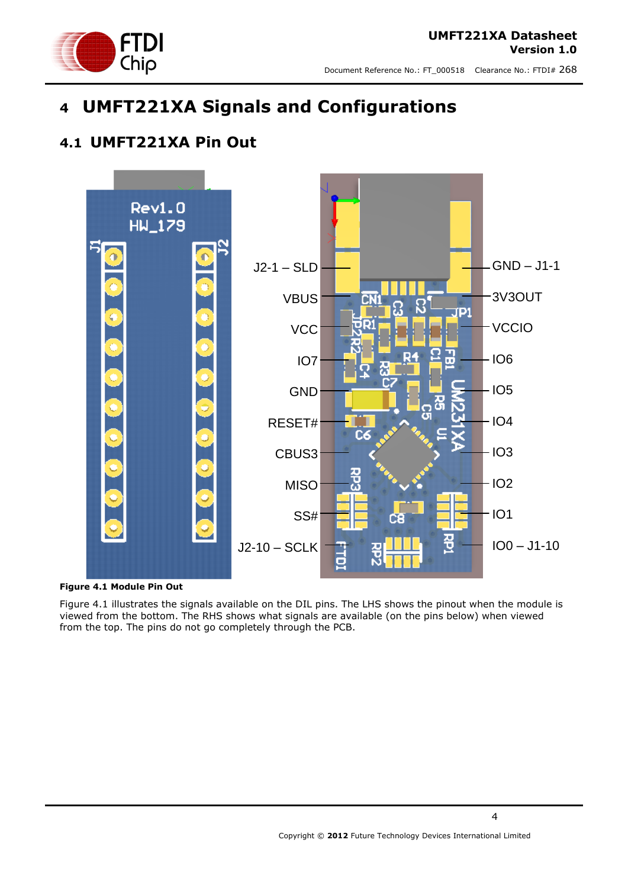

# <span id="page-3-0"></span>**4 UMFT221XA Signals and Configurations**

### <span id="page-3-1"></span>**4.1 UMFT221XA Pin Out**



<span id="page-3-2"></span>

Figure 4.1 illustrates the signals available on the DIL pins. The LHS shows the pinout when the module is viewed from the bottom. The RHS shows what signals are available (on the pins below) when viewed from the top. The pins do not go completely through the PCB.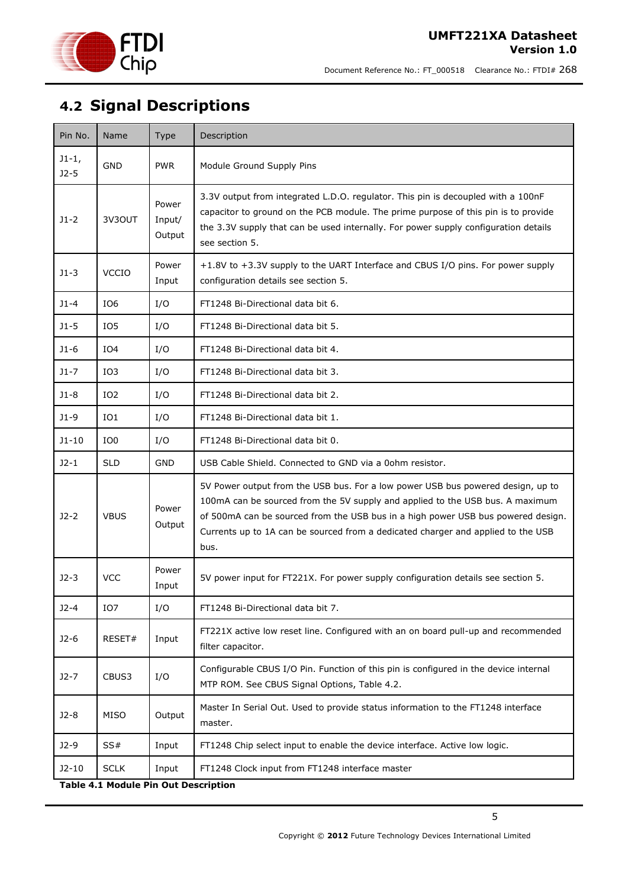

# <span id="page-4-0"></span>**4.2 Signal Descriptions**

| Pin No.           | <b>Name</b>     | Type                      | Description                                                                                                                                                                                                                                                                                                                                      |
|-------------------|-----------------|---------------------------|--------------------------------------------------------------------------------------------------------------------------------------------------------------------------------------------------------------------------------------------------------------------------------------------------------------------------------------------------|
| $J1-1,$<br>$J2-5$ | GND             | <b>PWR</b>                | Module Ground Supply Pins                                                                                                                                                                                                                                                                                                                        |
| $J1-2$            | 3V3OUT          | Power<br>Input/<br>Output | 3.3V output from integrated L.D.O. regulator. This pin is decoupled with a 100nF<br>capacitor to ground on the PCB module. The prime purpose of this pin is to provide<br>the 3.3V supply that can be used internally. For power supply configuration details<br>see section 5.                                                                  |
| $J1-3$            | <b>VCCIO</b>    | Power<br>Input            | +1.8V to +3.3V supply to the UART Interface and CBUS I/O pins. For power supply<br>configuration details see section 5.                                                                                                                                                                                                                          |
| $J1-4$            | IO <sub>6</sub> | I/O                       | FT1248 Bi-Directional data bit 6.                                                                                                                                                                                                                                                                                                                |
| $J1-5$            | IO <sub>5</sub> | I/O                       | FT1248 Bi-Directional data bit 5.                                                                                                                                                                                                                                                                                                                |
| $J1-6$            | IO4             | I/O                       | FT1248 Bi-Directional data bit 4.                                                                                                                                                                                                                                                                                                                |
| $J1-7$            | IO3             | I/O                       | FT1248 Bi-Directional data bit 3.                                                                                                                                                                                                                                                                                                                |
| $J1-8$            | IO <sub>2</sub> | I/O                       | FT1248 Bi-Directional data bit 2.                                                                                                                                                                                                                                                                                                                |
| $J1-9$            | IO1             | I/O                       | FT1248 Bi-Directional data bit 1.                                                                                                                                                                                                                                                                                                                |
| $J1 - 10$         | IO0             | I/O                       | FT1248 Bi-Directional data bit 0.                                                                                                                                                                                                                                                                                                                |
| $J2-1$            | <b>SLD</b>      | <b>GND</b>                | USB Cable Shield. Connected to GND via a 0ohm resistor.                                                                                                                                                                                                                                                                                          |
| $J2-2$            | <b>VBUS</b>     | Power<br>Output           | 5V Power output from the USB bus. For a low power USB bus powered design, up to<br>100mA can be sourced from the 5V supply and applied to the USB bus. A maximum<br>of 500mA can be sourced from the USB bus in a high power USB bus powered design.<br>Currents up to 1A can be sourced from a dedicated charger and applied to the USB<br>bus. |
| $J2-3$            | <b>VCC</b>      | Power<br>Input            | 5V power input for FT221X. For power supply configuration details see section 5.                                                                                                                                                                                                                                                                 |
| $J2-4$            | IO7             | I/O                       | FT1248 Bi-Directional data bit 7.                                                                                                                                                                                                                                                                                                                |
| $J2-6$            | RESET#          | Input                     | FT221X active low reset line. Configured with an on board pull-up and recommended<br>filter capacitor.                                                                                                                                                                                                                                           |
| $J2-7$            | CBUS3           | I/O                       | Configurable CBUS I/O Pin. Function of this pin is configured in the device internal<br>MTP ROM. See CBUS Signal Options, Table 4.2.                                                                                                                                                                                                             |
| $J2-8$            | MISO            | Output                    | Master In Serial Out. Used to provide status information to the FT1248 interface<br>master.                                                                                                                                                                                                                                                      |
| $J2-9$            | SS#             | Input                     | FT1248 Chip select input to enable the device interface. Active low logic.                                                                                                                                                                                                                                                                       |
| $J2-10$           | <b>SCLK</b>     | Input                     | FT1248 Clock input from FT1248 interface master                                                                                                                                                                                                                                                                                                  |

<span id="page-4-1"></span>**Table 4.1 Module Pin Out Description**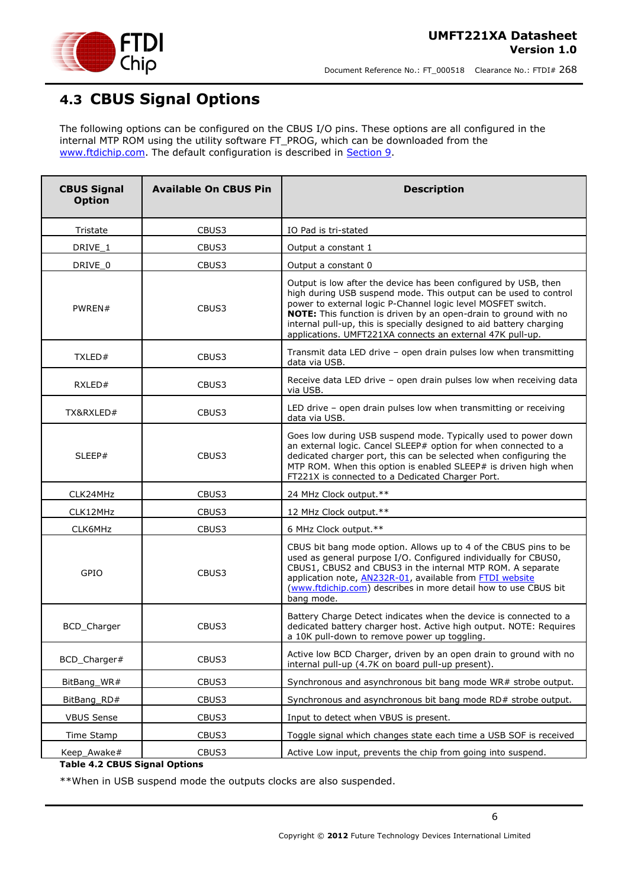

### <span id="page-5-0"></span>**4.3 CBUS Signal Options**

The following options can be configured on the CBUS I/O pins. These options are all configured in the internal MTP ROM using the utility software FT\_PROG, which can be downloaded from the [www.ftdichip.com.](http://www.ftdichip.com/) The default configuration is described in [Section 9.](file:///C:/Documents%20and%20Settings/ian.dunn/My%20Documents/SharePoint%20Drafts/DS_UMFT231XA-01.doc%23_Internal_EEPROM_Configuration)

| <b>CBUS Signal</b><br><b>Option</b> | <b>Available On CBUS Pin</b> | <b>Description</b>                                                                                                                                                                                                                                                                                                                                                                                           |
|-------------------------------------|------------------------------|--------------------------------------------------------------------------------------------------------------------------------------------------------------------------------------------------------------------------------------------------------------------------------------------------------------------------------------------------------------------------------------------------------------|
| Tristate                            | CBUS3                        | IO Pad is tri-stated                                                                                                                                                                                                                                                                                                                                                                                         |
| DRIVE 1                             | CBUS3                        | Output a constant 1                                                                                                                                                                                                                                                                                                                                                                                          |
| DRIVE_0                             | CBUS3                        | Output a constant 0                                                                                                                                                                                                                                                                                                                                                                                          |
| PWREN#                              | CBUS3                        | Output is low after the device has been configured by USB, then<br>high during USB suspend mode. This output can be used to control<br>power to external logic P-Channel logic level MOSFET switch.<br>NOTE: This function is driven by an open-drain to ground with no<br>internal pull-up, this is specially designed to aid battery charging<br>applications. UMFT221XA connects an external 47K pull-up. |
| TXLED#                              | CBUS3                        | Transmit data LED drive - open drain pulses low when transmitting<br>data via USB.                                                                                                                                                                                                                                                                                                                           |
| RXLED#                              | CBUS3                        | Receive data LED drive - open drain pulses low when receiving data<br>via USB.                                                                                                                                                                                                                                                                                                                               |
| TX&RXLED#                           | CBUS3                        | LED drive - open drain pulses low when transmitting or receiving<br>data via USB.                                                                                                                                                                                                                                                                                                                            |
| SLEEP#                              | CBUS3                        | Goes low during USB suspend mode. Typically used to power down<br>an external logic. Cancel SLEEP# option for when connected to a<br>dedicated charger port, this can be selected when configuring the<br>MTP ROM. When this option is enabled SLEEP# is driven high when<br>FT221X is connected to a Dedicated Charger Port.                                                                                |
| CLK24MHz                            | CBUS3                        | 24 MHz Clock output.**                                                                                                                                                                                                                                                                                                                                                                                       |
| CLK12MHz                            | CBUS3                        | 12 MHz Clock output.**                                                                                                                                                                                                                                                                                                                                                                                       |
| CLK6MHz                             | CBUS3                        | 6 MHz Clock output.**                                                                                                                                                                                                                                                                                                                                                                                        |
| GPIO                                | CBUS3                        | CBUS bit bang mode option. Allows up to 4 of the CBUS pins to be<br>used as general purpose I/O. Configured individually for CBUS0,<br>CBUS1, CBUS2 and CBUS3 in the internal MTP ROM. A separate<br>application note, AN232R-01, available from FTDI website<br>(www.ftdichip.com) describes in more detail how to use CBUS bit<br>bang mode.                                                               |
| BCD_Charger                         | CBUS3                        | Battery Charge Detect indicates when the device is connected to a<br>dedicated battery charger host. Active high output. NOTE: Requires<br>a 10K pull-down to remove power up toggling.                                                                                                                                                                                                                      |
| BCD_Charger#                        | CBUS3                        | Active low BCD Charger, driven by an open drain to ground with no<br>internal pull-up (4.7K on board pull-up present).                                                                                                                                                                                                                                                                                       |
| BitBang_WR#                         | CBUS3                        | Synchronous and asynchronous bit bang mode WR# strobe output.                                                                                                                                                                                                                                                                                                                                                |
| BitBang_RD#                         | CBUS3                        | Synchronous and asynchronous bit bang mode RD# strobe output.                                                                                                                                                                                                                                                                                                                                                |
| <b>VBUS Sense</b>                   | CBUS3                        | Input to detect when VBUS is present.                                                                                                                                                                                                                                                                                                                                                                        |
| Time Stamp                          | CBUS3                        | Toggle signal which changes state each time a USB SOF is received                                                                                                                                                                                                                                                                                                                                            |
| Keep_Awake#                         | CBUS3                        | Active Low input, prevents the chip from going into suspend.                                                                                                                                                                                                                                                                                                                                                 |

#### **Table 4.2 CBUS Signal Options**

\*\*When in USB suspend mode the outputs clocks are also suspended.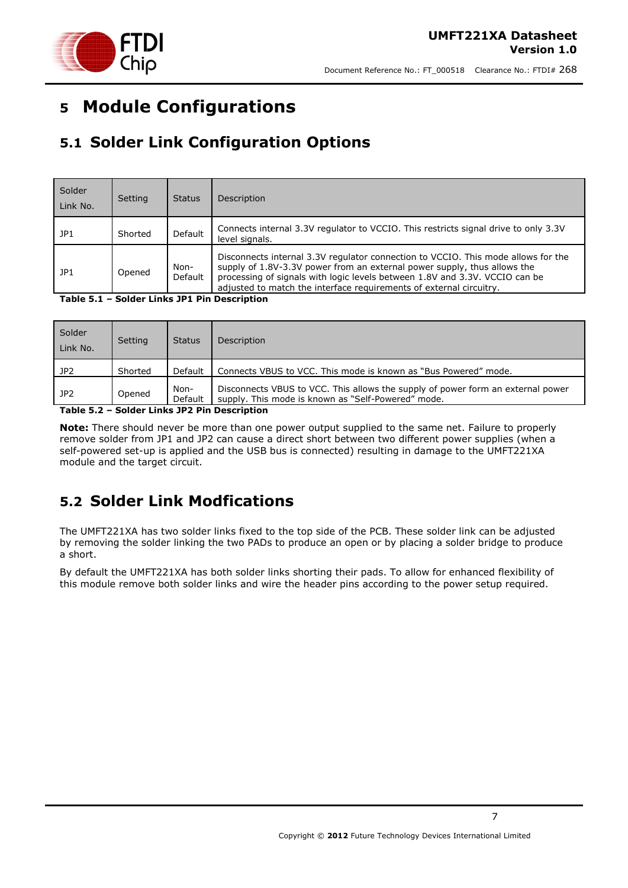



# <span id="page-6-0"></span>**5 Module Configurations**

## <span id="page-6-1"></span>**5.1 Solder Link Configuration Options**

| Solder<br>Link No. | Setting | <b>Status</b>   | Description                                                                                                                                                                                                                                                                                                         |
|--------------------|---------|-----------------|---------------------------------------------------------------------------------------------------------------------------------------------------------------------------------------------------------------------------------------------------------------------------------------------------------------------|
| JP1                | Shorted | Default         | Connects internal 3.3V regulator to VCCIO. This restricts signal drive to only 3.3V<br>level signals.                                                                                                                                                                                                               |
| l JP1              | Opened  | Non-<br>Default | Disconnects internal 3.3V regulator connection to VCCIO. This mode allows for the<br>supply of 1.8V-3.3V power from an external power supply, thus allows the<br>processing of signals with logic levels between 1.8V and 3.3V. VCCIO can be<br>adjusted to match the interface requirements of external circuitry. |

#### <span id="page-6-3"></span>**Table 5.1 – Solder Links JP1 Pin Description**

| Solder<br>Link No. | Setting | <b>Status</b>   | Description                                                                                                                           |
|--------------------|---------|-----------------|---------------------------------------------------------------------------------------------------------------------------------------|
| JP2                | Shorted | Default         | Connects VBUS to VCC. This mode is known as "Bus Powered" mode.                                                                       |
| JP2                | Opened  | Non-<br>Default | Disconnects VBUS to VCC. This allows the supply of power form an external power<br>supply. This mode is known as "Self-Powered" mode. |

<span id="page-6-4"></span>**Table 5.2 – Solder Links JP2 Pin Description**

**Note:** There should never be more than one power output supplied to the same net. Failure to properly remove solder from JP1 and JP2 can cause a direct short between two different power supplies (when a self-powered set-up is applied and the USB bus is connected) resulting in damage to the UMFT221XA module and the target circuit.

### <span id="page-6-2"></span>**5.2 Solder Link Modfications**

The UMFT221XA has two solder links fixed to the top side of the PCB. These solder link can be adjusted by removing the solder linking the two PADs to produce an open or by placing a solder bridge to produce a short.

By default the UMFT221XA has both solder links shorting their pads. To allow for enhanced flexibility of this module remove both solder links and wire the header pins according to the power setup required.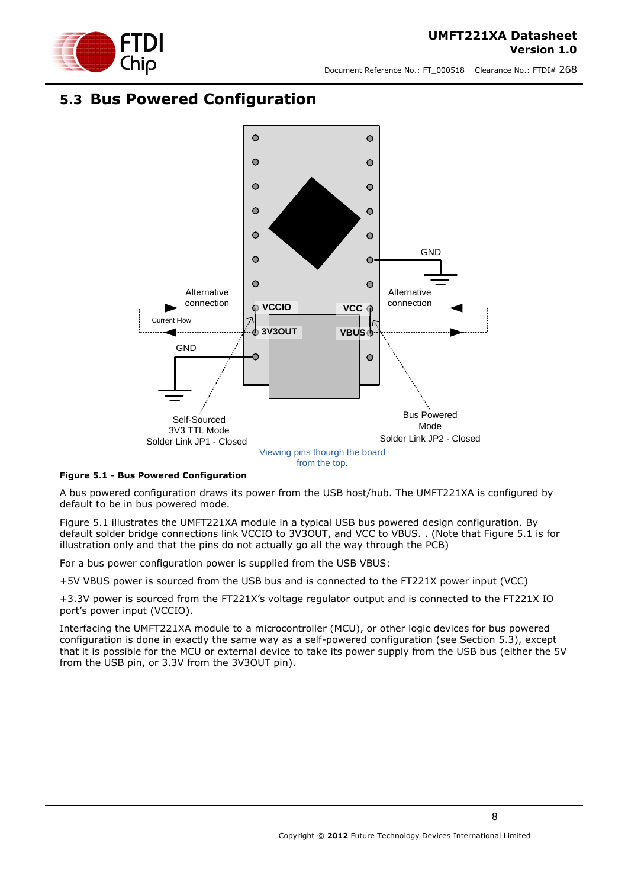

### <span id="page-7-0"></span>**5.3 Bus Powered Configuration**



#### <span id="page-7-1"></span>**Figure 5.1 - Bus Powered Configuration**

A bus powered configuration draws its power from the USB host/hub. The UMFT221XA is configured by default to be in bus powered mode.

[Figure 5.1](#page-7-1) illustrates the UMFT221XA module in a typical USB bus powered design configuration. By default solder bridge connections link VCCIO to 3V3OUT, and VCC to VBUS. . (Note that Figure 5.1 is for illustration only and that the pins do not actually go all the way through the PCB)

For a bus power configuration power is supplied from the USB VBUS:

+5V VBUS power is sourced from the USB bus and is connected to the FT221X power input (VCC)

+3.3V power is sourced from the FT221X"s voltage regulator output and is connected to the FT221X IO port"s power input (VCCIO).

Interfacing the UMFT221XA module to a microcontroller (MCU), or other logic devices for bus powered configuration is done in exactly the same way as a self-powered configuration (see Section 5.3), except that it is possible for the MCU or external device to take its power supply from the USB bus (either the 5V from the USB pin, or 3.3V from the 3V3OUT pin).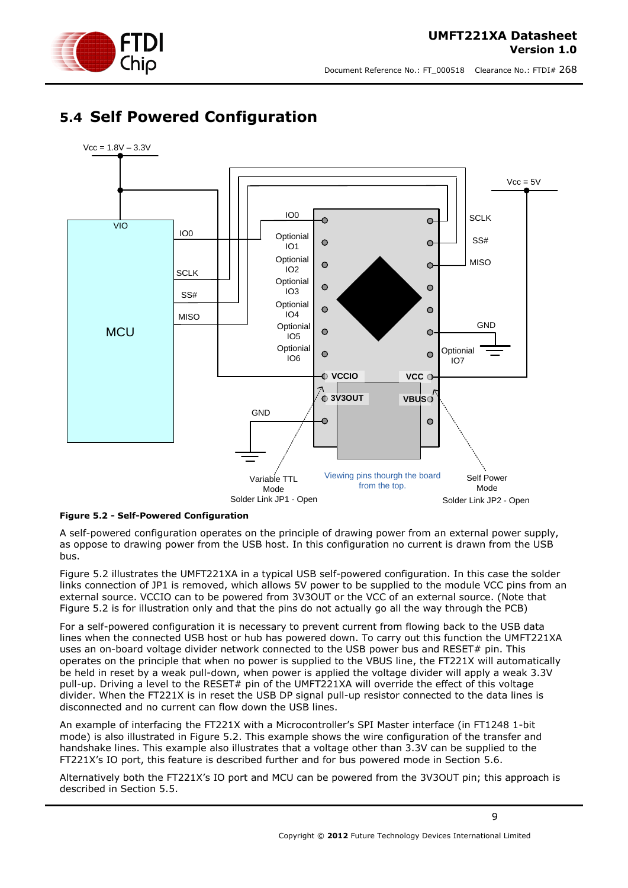

#### **UMFT221XA Datasheet Version 1.0**

Document Reference No.: FT\_000518 Clearance No.: FTDI# 268

### <span id="page-8-0"></span>**5.4 Self Powered Configuration**



### <span id="page-8-1"></span>**Figure 5.2 - Self-Powered Configuration**

A self-powered configuration operates on the principle of drawing power from an external power supply, as oppose to drawing power from the USB host. In this configuration no current is drawn from the USB bus.

[Figure 5.2](#page-8-1) illustrates the UMFT221XA in a typical USB self-powered configuration. In this case the solder links connection of JP1 is removed, which allows 5V power to be supplied to the module VCC pins from an external source. VCCIO can to be powered from 3V3OUT or the VCC of an external source. (Note that Figure 5.2 is for illustration only and that the pins do not actually go all the way through the PCB)

For a self-powered configuration it is necessary to prevent current from flowing back to the USB data lines when the connected USB host or hub has powered down. To carry out this function the UMFT221XA uses an on-board voltage divider network connected to the USB power bus and RESET# pin. This operates on the principle that when no power is supplied to the VBUS line, the FT221X will automatically be held in reset by a weak pull-down, when power is applied the voltage divider will apply a weak 3.3V pull-up. Driving a level to the RESET# pin of the UMFT221XA will override the effect of this voltage divider. When the FT221X is in reset the USB DP signal pull-up resistor connected to the data lines is disconnected and no current can flow down the USB lines.

An example of interfacing the FT221X with a Microcontroller"s SPI Master interface (in FT1248 1-bit mode) is also illustrated in [Figure 5.2.](#page-8-1) This example shows the wire configuration of the transfer and handshake lines. This example also illustrates that a voltage other than 3.3V can be supplied to the FT221X"s IO port, this feature is described further and for bus powered mode in Section [5.6.](#page-10-0)

Alternatively both the FT221X"s IO port and MCU can be powered from the 3V3OUT pin; this approach is described in Section [5.5.](#page-9-0)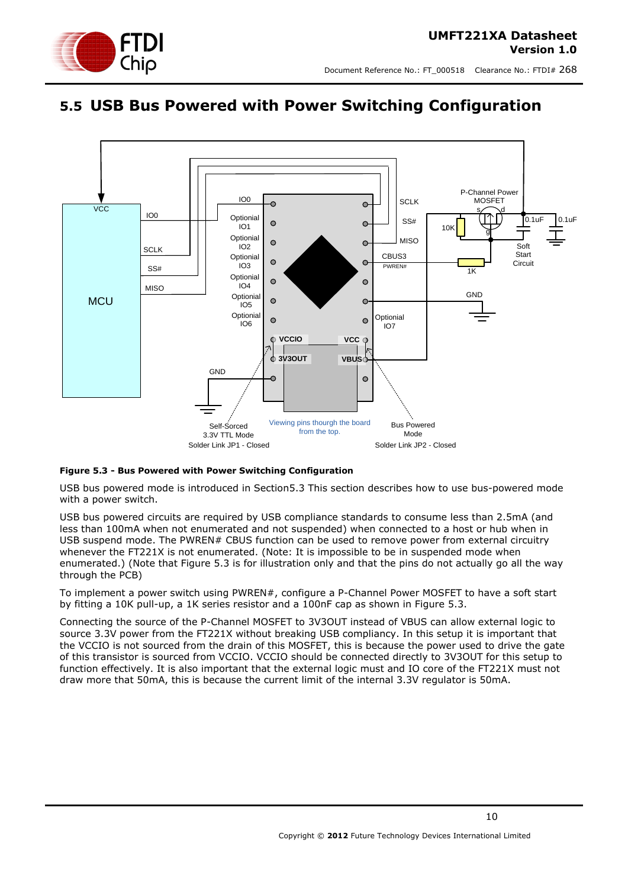

### <span id="page-9-0"></span>**5.5 USB Bus Powered with Power Switching Configuration**



### <span id="page-9-1"></span>**Figure 5.3 - Bus Powered with Power Switching Configuration**

USB bus powered mode is introduced in Section5.3 This section describes how to use bus-powered mode with a power switch.

USB bus powered circuits are required by USB compliance standards to consume less than 2.5mA (and less than 100mA when not enumerated and not suspended) when connected to a host or hub when in USB suspend mode. The PWREN# CBUS function can be used to remove power from external circuitry whenever the FT221X is not enumerated. (Note: It is impossible to be in suspended mode when enumerated.) (Note that Figure 5.3 is for illustration only and that the pins do not actually go all the way through the PCB)

To implement a power switch using PWREN#, configure a P-Channel Power MOSFET to have a soft start by fitting a 10K pull-up, a 1K series resistor and a 100nF cap as shown in [Figure 5.3.](#page-9-1)

Connecting the source of the P-Channel MOSFET to 3V3OUT instead of VBUS can allow external logic to source 3.3V power from the FT221X without breaking USB compliancy. In this setup it is important that the VCCIO is not sourced from the drain of this MOSFET, this is because the power used to drive the gate of this transistor is sourced from VCCIO. VCCIO should be connected directly to 3V3OUT for this setup to function effectively. It is also important that the external logic must and IO core of the FT221X must not draw more that 50mA, this is because the current limit of the internal 3.3V regulator is 50mA.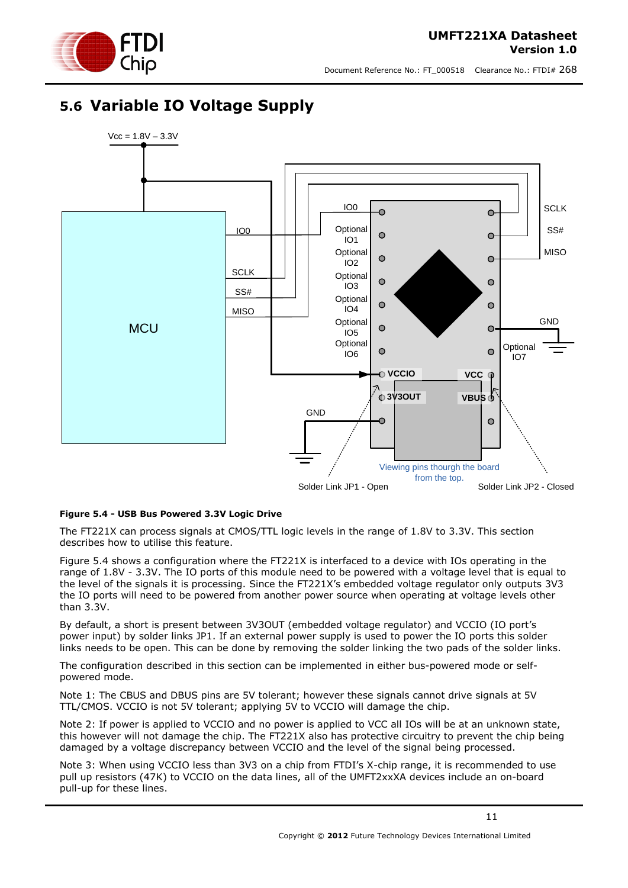### <span id="page-10-0"></span>**5.6 Variable IO Voltage Supply**



#### <span id="page-10-1"></span>**Figure 5.4 - USB Bus Powered 3.3V Logic Drive**

The FT221X can process signals at CMOS/TTL logic levels in the range of 1.8V to 3.3V. This section describes how to utilise this feature.

[Figure 5.4](#page-10-1) shows a configuration where the FT221X is interfaced to a device with IOs operating in the range of 1.8V - 3.3V. The IO ports of this module need to be powered with a voltage level that is equal to the level of the signals it is processing. Since the FT221X"s embedded voltage regulator only outputs 3V3 the IO ports will need to be powered from another power source when operating at voltage levels other than 3.3V.

By default, a short is present between 3V3OUT (embedded voltage regulator) and VCCIO (IO port"s power input) by solder links JP1. If an external power supply is used to power the IO ports this solder links needs to be open. This can be done by removing the solder linking the two pads of the solder links.

The configuration described in this section can be implemented in either bus-powered mode or selfpowered mode.

Note 1: The CBUS and DBUS pins are 5V tolerant; however these signals cannot drive signals at 5V TTL/CMOS. VCCIO is not 5V tolerant; applying 5V to VCCIO will damage the chip.

Note 2: If power is applied to VCCIO and no power is applied to VCC all IOs will be at an unknown state, this however will not damage the chip. The FT221X also has protective circuitry to prevent the chip being damaged by a voltage discrepancy between VCCIO and the level of the signal being processed.

Note 3: When using VCCIO less than 3V3 on a chip from FTDI's X-chip range, it is recommended to use pull up resistors (47K) to VCCIO on the data lines, all of the UMFT2xxXA devices include an on-board pull-up for these lines.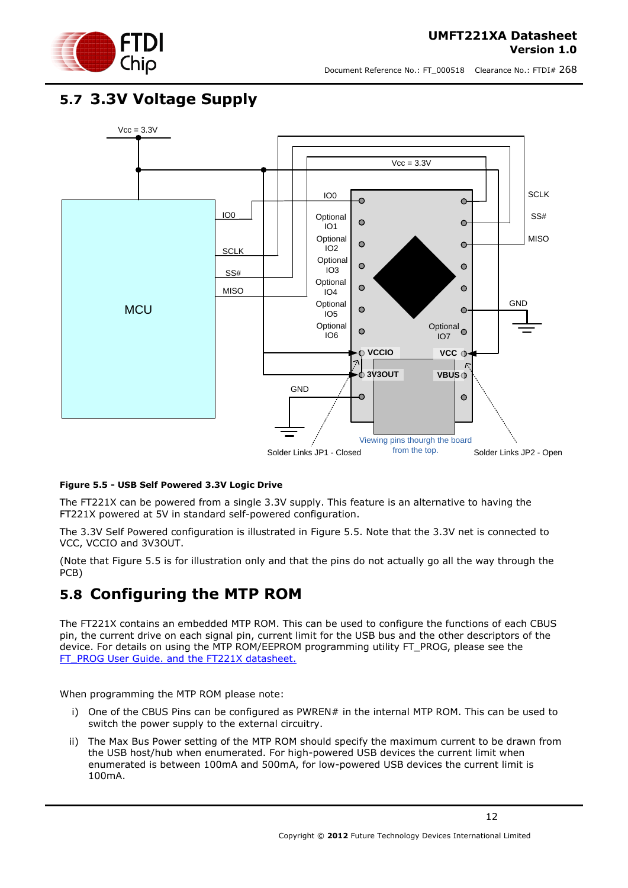

### <span id="page-11-0"></span>**5.7 3.3V Voltage Supply**



### <span id="page-11-2"></span>**Figure 5.5 - USB Self Powered 3.3V Logic Drive**

The FT221X can be powered from a single 3.3V supply. This feature is an alternative to having the FT221X powered at 5V in standard self-powered configuration.

The 3.3V Self Powered configuration is illustrated in [Figure 5.5.](#page-11-2) Note that the 3.3V net is connected to VCC, VCCIO and 3V3OUT.

(Note that Figure 5.5 is for illustration only and that the pins do not actually go all the way through the PCB)

### <span id="page-11-1"></span>**5.8 Configuring the MTP ROM**

The FT221X contains an embedded MTP ROM. This can be used to configure the functions of each CBUS pin, the current drive on each signal pin, current limit for the USB bus and the other descriptors of the device. For details on using the MTP ROM/EEPROM programming utility FT\_PROG, please see the [FT\\_PROG User](http://www.ftdichip.com/Support/Documents/AppNotes/AN_124_User_Guide_For_FT_PROG.pdf) Guide. and the FT221X datasheet.

When programming the MTP ROM please note:

- i) One of the CBUS Pins can be configured as PWREN# in the internal MTP ROM. This can be used to switch the power supply to the external circuitry.
- ii) The Max Bus Power setting of the MTP ROM should specify the maximum current to be drawn from the USB host/hub when enumerated. For high-powered USB devices the current limit when enumerated is between 100mA and 500mA, for low-powered USB devices the current limit is 100mA.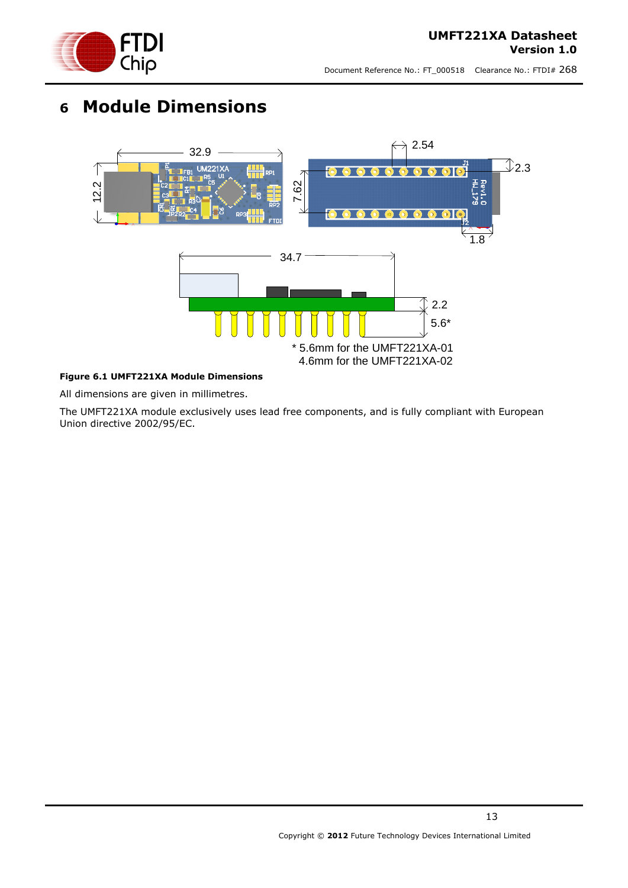

# <span id="page-12-0"></span>**6 Module Dimensions**



### <span id="page-12-1"></span>**Figure 6.1 UMFT221XA Module Dimensions**

All dimensions are given in millimetres.

The UMFT221XA module exclusively uses lead free components, and is fully compliant with European Union directive 2002/95/EC.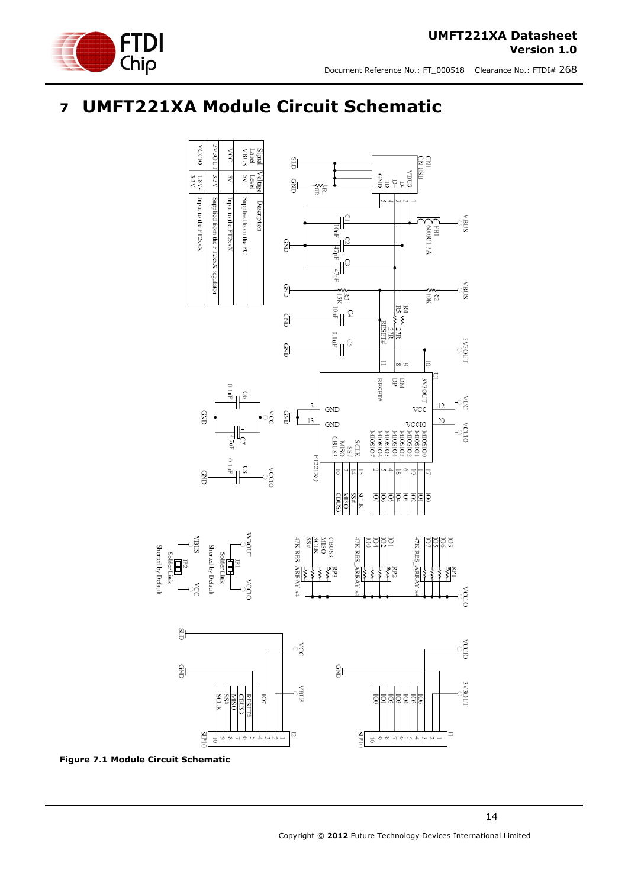



# <span id="page-13-0"></span>**7 UMFT221XA Module Circuit Schematic**



<span id="page-13-1"></span>**Figure 7.1 Module Circuit Schematic**

Shorted by Defau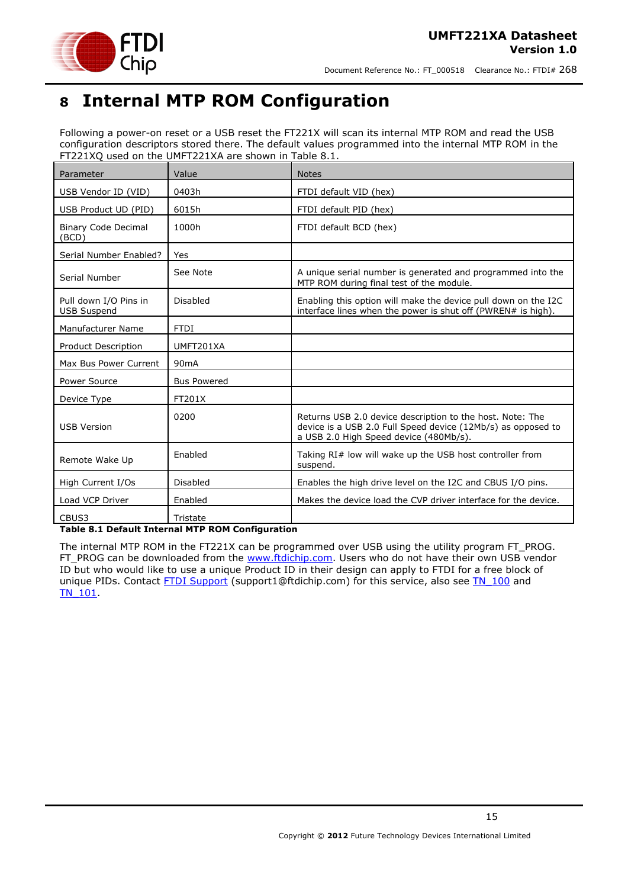

# <span id="page-14-0"></span>**8 Internal MTP ROM Configuration**

Following a power-on reset or a USB reset the FT221X will scan its internal MTP ROM and read the USB configuration descriptors stored there. The default values programmed into the internal MTP ROM in the FT221XQ used on the UMFT221XA are shown in Table 8.1.

| Parameter                                   | Value              | <b>Notes</b>                                                                                                                                                        |
|---------------------------------------------|--------------------|---------------------------------------------------------------------------------------------------------------------------------------------------------------------|
| USB Vendor ID (VID)                         | 0403h              | FTDI default VID (hex)                                                                                                                                              |
| USB Product UD (PID)                        | 6015h              | FTDI default PID (hex)                                                                                                                                              |
| <b>Binary Code Decimal</b><br>(BCD)         | 1000h              | FTDI default BCD (hex)                                                                                                                                              |
| Serial Number Enabled?                      | Yes                |                                                                                                                                                                     |
| Serial Number                               | See Note           | A unique serial number is generated and programmed into the<br>MTP ROM during final test of the module.                                                             |
| Pull down I/O Pins in<br><b>USB Suspend</b> | Disabled           | Enabling this option will make the device pull down on the I2C<br>interface lines when the power is shut off (PWREN# is high).                                      |
| Manufacturer Name                           | <b>FTDI</b>        |                                                                                                                                                                     |
| Product Description                         | UMFT201XA          |                                                                                                                                                                     |
| Max Bus Power Current                       | 90 <sub>m</sub> A  |                                                                                                                                                                     |
| Power Source                                | <b>Bus Powered</b> |                                                                                                                                                                     |
| Device Type                                 | FT201X             |                                                                                                                                                                     |
| <b>USB Version</b>                          | 0200               | Returns USB 2.0 device description to the host. Note: The<br>device is a USB 2.0 Full Speed device (12Mb/s) as opposed to<br>a USB 2.0 High Speed device (480Mb/s). |
| Remote Wake Up                              | Enabled            | Taking RI# low will wake up the USB host controller from<br>suspend.                                                                                                |
| High Current I/Os                           | Disabled           | Enables the high drive level on the I2C and CBUS I/O pins.                                                                                                          |
| Load VCP Driver                             | Enabled            | Makes the device load the CVP driver interface for the device.                                                                                                      |
| CBUS3                                       | Tristate           |                                                                                                                                                                     |

#### <span id="page-14-1"></span>**Table 8.1 Default Internal MTP ROM Configuration**

The internal MTP ROM in the FT221X can be programmed over USB using the utility program FT\_PROG. FT\_PROG can be downloaded from the [www.ftdichip.com.](http://www.ftdichip.com/) Users who do not have their own USB vendor ID but who would like to use a unique Product ID in their design can apply to FTDI for a free block of unique PIDs. Contact [FTDI Support](mailto:support1@ftdichip.com?subject=UM232R%20Free%20Block%20of%20Unique%20PIDs) (support1@ftdichip.com) for this service, also see TN 100 and [TN\\_101.](http://www.ftdichip.com/Support/Documents/TechnicalNotes/TN_104_Guide%20to%20Debugging_Customers_Failed_Driver_%20Installation_%20on_%20Windows.pdf)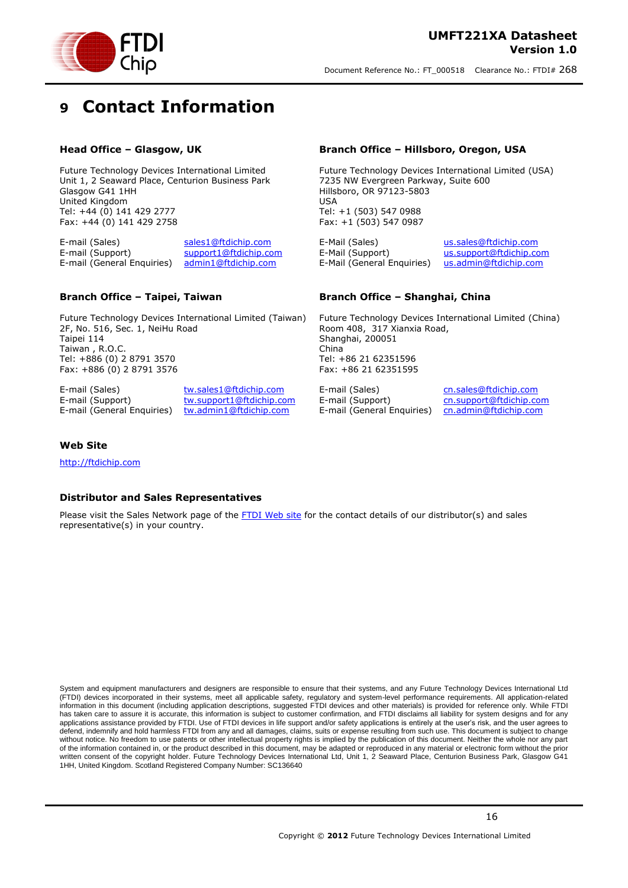



# <span id="page-15-0"></span>**9 Contact Information**

#### **Head Office – Glasgow, UK**

Future Technology Devices International Limited Unit 1, 2 Seaward Place, Centurion Business Park Glasgow G41 1HH United Kingdom Tel: +44 (0) 141 429 2777 Fax: +44 (0) 141 429 2758

E-mail (Sales) [sales1@ftdichip.com](mailto:sales1@ftdichip.com) E-mail (Support) [support1@ftdichip.com](mailto:support1@ftdichip.com) E-mail (General Enquiries) [admin1@ftdichip.com](mailto:admin1@ftdichip.com)

#### **Branch Office – Taipei, Taiwan**

Future Technology Devices International Limited (Taiwan) 2F, No. 516, Sec. 1, NeiHu Road Taipei 114 Taiwan , R.O.C. Tel: +886 (0) 2 8791 3570 Fax: +886 (0) 2 8791 3576

E-mail (Sales) [tw.sales1@ftdichip.com](mailto:tw.sales1@ftdichip.com) E-mail (Support) [tw.support1@ftdichip.com](mailto:tw.support1@ftdichip.com) E-mail (General Enquiries) [tw.admin1@ftdichip.com](mailto:tw.admin1@ftdichip.com)

#### **Branch Office – Hillsboro, Oregon, USA**

Future Technology Devices International Limited (USA) 7235 NW Evergreen Parkway, Suite 600 Hillsboro, OR 97123-5803 USA Tel: +1 (503) 547 0988 Fax: +1 (503) 547 0987

E-Mail (Sales) [us.sales@ftdichip.com](mailto:us.sales@ftdichip.com) E-Mail (Support) [us.support@ftdichip.com](mailto:us.support@ftdichip.com) E-Mail (General Enquiries) [us.admin@ftdichip.com](mailto:us.admin@ftdichip.com)

#### **Branch Office – Shanghai, China**

Future Technology Devices International Limited (China) Room 408, 317 Xianxia Road, Shanghai, 200051 China Tel: +86 21 62351596 Fax: +86 21 62351595

E-mail (Support) [cn.support@ftdichip.com](mailto:cn.support@ftdichip.com) E-mail (General Enquiries) [cn.admin@ftdichip.com](mailto:cn.admin@ftdichip.com)

E-mail (Sales) [cn.sales@ftdichip.com](mailto:cn.sales@ftdichip.com)

#### **Web Site**

[http://ftdichip.com](http://ftdichip.com/)

#### **Distributor and Sales Representatives**

Please visit the Sales Network page of the [FTDI Web site](http://ftdichip.com/FTSalesNetwork.htm) for the contact details of our distributor(s) and sales representative(s) in your country.

System and equipment manufacturers and designers are responsible to ensure that their systems, and any Future Technology Devices International Ltd (FTDI) devices incorporated in their systems, meet all applicable safety, regulatory and system-level performance requirements. All application-related information in this document (including application descriptions, suggested FTDI devices and other materials) is provided for reference only. While FTDI has taken care to assure it is accurate, this information is subject to customer confirmation, and FTDI disclaims all liability for system designs and for any applications assistance provided by FTDI. Use of FTDI devices in life support and/or safety applications is entirely at the user's risk, and the user agrees to defend, indemnify and hold harmless FTDI from any and all damages, claims, suits or expense resulting from such use. This document is subject to change without notice. No freedom to use patents or other intellectual property rights is implied by the publication of this document. Neither the whole nor any part of the information contained in, or the product described in this document, may be adapted or reproduced in any material or electronic form without the prior written consent of the copyright holder. Future Technology Devices International Ltd, Unit 1, 2 Seaward Place, Centurion Business Park, Glasgow G41 1HH, United Kingdom. Scotland Registered Company Number: SC136640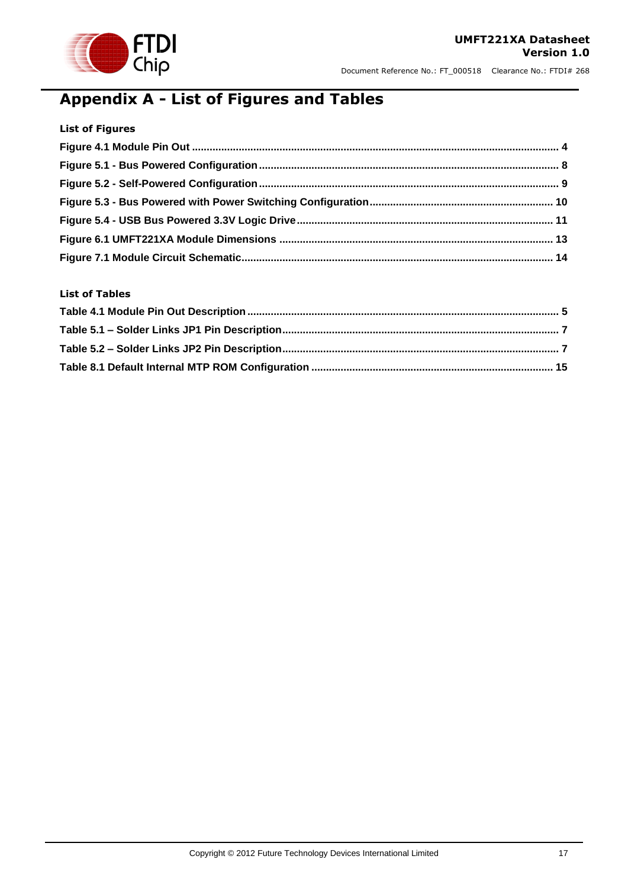

# <span id="page-16-0"></span>**Appendix A - List of Figures and Tables**

| <b>List of Figures</b> |  |
|------------------------|--|
|                        |  |
|                        |  |
|                        |  |
|                        |  |
|                        |  |
|                        |  |
|                        |  |

### **List of Tables**